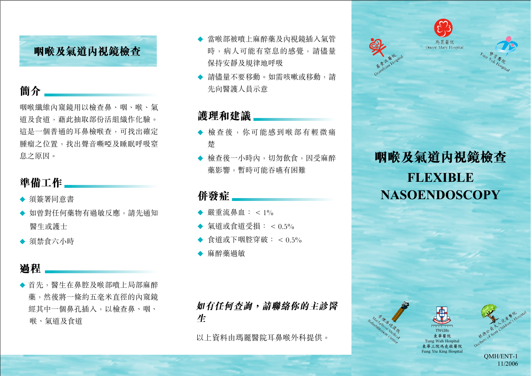# **簡介**

咽喉纖維內窺鏡用以檢查鼻、咽、喉、氣 道及食道,藉此抽取部份活組織作化驗。 這是一個普通的耳鼻檢喉查,可找出確定 腫瘤之位置,找出聲音嘶啞及睡眠呼吸窒 息之原因。

# **準備工作**

- ◆ 須簽署同意書
- ◆ 如曾對任何藥物有過敏反應,請先通知 醫生或護士
- ◆ 須禁食六小時

# **過程**

◆ 首先,醫生在鼻腔及喉部噴上局部麻醉 藥,然後將一條約五毫米直徑的內窺鏡 經其中一個鼻孔插入,以檢查鼻、咽、 喉、氣道及食道

- ◆ 當喉部被晴上麻醉藥及內視鏡插入氣管 時,病人可能有窒息的感覺,請儘量 保持安靜及規律地呼吸 **咽喉及氣道內視鏡檢查** 時,病人可能有窒息的感覺,請儘量 樂 - Queen Mary Hospital
	- ◆ 請儘量不要移動。如需咳嗽或移動,請 先向醫護人員示意

# **護理和建議**

- ◆ 檢查後,你可能感到喉部有輕微痛 楚
- ◆ 檢杳後一小時內,切勿飲食,因受麻醉 藥影響,暫時可能吞嚥有困難

### **併發症**

- ▲ 嚴重溢畠血: < 104
- ◆ 氣道或食道受損: < 0.5%
- **◆ 食道或下咽腔穿破: < 0.5%**
- ◆ 麻醉藥過敏

如有任何查詢,請聯絡你的主診醫 牛

以上資料由瑪麗醫院耳鼻喉外科提供。



# **咽喉及氣道內視鏡檢查 FLEXIBLE NASOENDOSCOPY**

**TWGHs 東華醫院 Tung Wah Hospital 東華三院馮堯敬醫院 Fung Yiu King Hospital**





QMH/ENT-1 11/2006